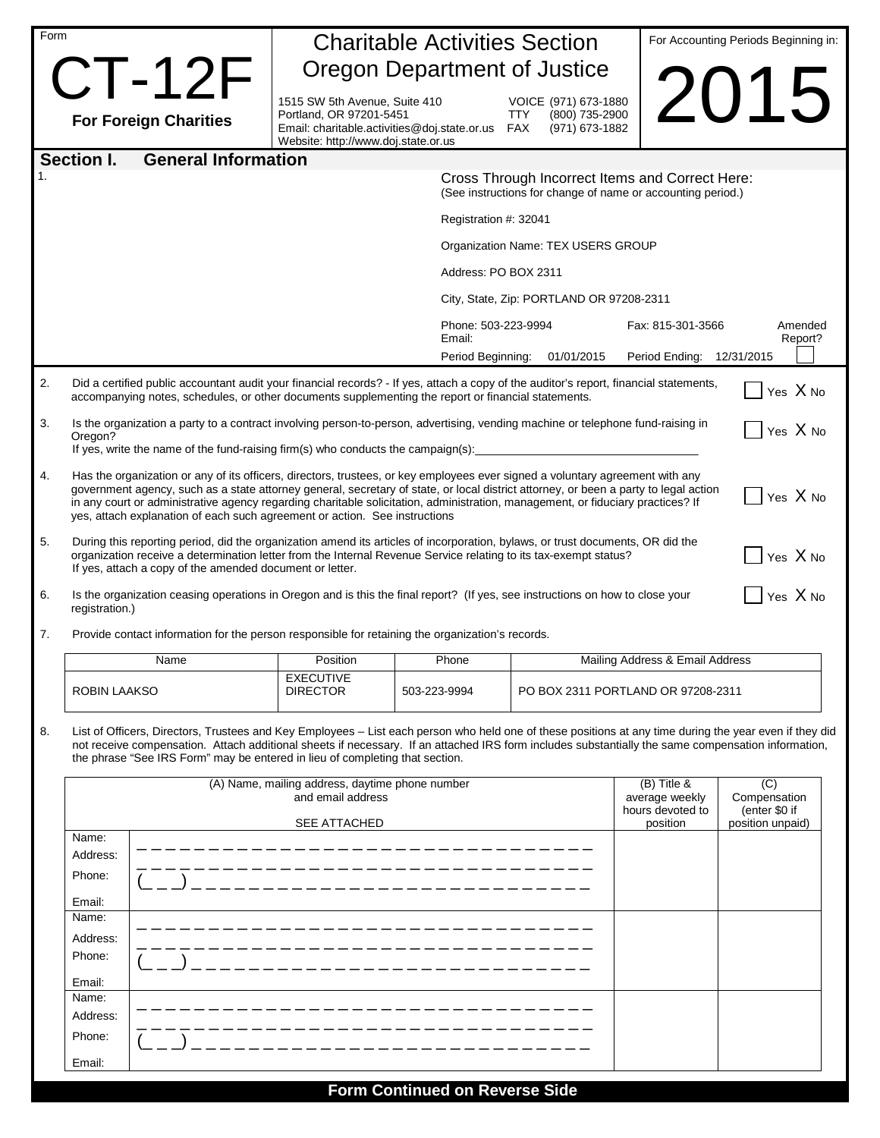| Form |                                                                                                                                                                                                                                                                                                                                                                                                                                                                                                    |                                                                                                                                                     | <b>Charitable Activities Section</b> |                                                                                                                | For Accounting Periods Beginning in: |                    |  |  |  |  |
|------|----------------------------------------------------------------------------------------------------------------------------------------------------------------------------------------------------------------------------------------------------------------------------------------------------------------------------------------------------------------------------------------------------------------------------------------------------------------------------------------------------|-----------------------------------------------------------------------------------------------------------------------------------------------------|--------------------------------------|----------------------------------------------------------------------------------------------------------------|--------------------------------------|--------------------|--|--|--|--|
|      | $CT-12F$                                                                                                                                                                                                                                                                                                                                                                                                                                                                                           |                                                                                                                                                     | Oregon Department of Justice         |                                                                                                                |                                      |                    |  |  |  |  |
|      | <b>For Foreign Charities</b>                                                                                                                                                                                                                                                                                                                                                                                                                                                                       | 1515 SW 5th Avenue, Suite 410<br>Portland, OR 97201-5451<br>Email: charitable.activities@doj.state.or.us FAX<br>Website: http://www.doj.state.or.us |                                      | VOICE (971) 673-1880<br>(800) 735-2900<br><b>TTY</b><br>(971) 673-1882                                         |                                      | Z <sub>01</sub>    |  |  |  |  |
|      | <b>General Information</b><br>Section I.                                                                                                                                                                                                                                                                                                                                                                                                                                                           |                                                                                                                                                     |                                      |                                                                                                                |                                      |                    |  |  |  |  |
| 1.   |                                                                                                                                                                                                                                                                                                                                                                                                                                                                                                    |                                                                                                                                                     |                                      | Cross Through Incorrect Items and Correct Here:<br>(See instructions for change of name or accounting period.) |                                      |                    |  |  |  |  |
|      |                                                                                                                                                                                                                                                                                                                                                                                                                                                                                                    |                                                                                                                                                     | Registration #: 32041                |                                                                                                                |                                      |                    |  |  |  |  |
|      |                                                                                                                                                                                                                                                                                                                                                                                                                                                                                                    |                                                                                                                                                     |                                      | Organization Name: TEX USERS GROUP                                                                             |                                      |                    |  |  |  |  |
|      |                                                                                                                                                                                                                                                                                                                                                                                                                                                                                                    |                                                                                                                                                     | Address: PO BOX 2311                 |                                                                                                                |                                      |                    |  |  |  |  |
|      |                                                                                                                                                                                                                                                                                                                                                                                                                                                                                                    | City, State, Zip: PORTLAND OR 97208-2311                                                                                                            |                                      |                                                                                                                |                                      |                    |  |  |  |  |
|      |                                                                                                                                                                                                                                                                                                                                                                                                                                                                                                    | Phone: 503-223-9994<br>Email:                                                                                                                       |                                      |                                                                                                                | Fax: 815-301-3566                    | Amended<br>Report? |  |  |  |  |
|      |                                                                                                                                                                                                                                                                                                                                                                                                                                                                                                    |                                                                                                                                                     | Period Beginning:                    | 01/01/2015                                                                                                     | Period Ending:                       | 12/31/2015         |  |  |  |  |
| 2.   | Did a certified public accountant audit your financial records? - If yes, attach a copy of the auditor's report, financial statements,<br>Yes X No<br>accompanying notes, schedules, or other documents supplementing the report or financial statements.                                                                                                                                                                                                                                          |                                                                                                                                                     |                                      |                                                                                                                |                                      |                    |  |  |  |  |
| 3.   | Oregon?                                                                                                                                                                                                                                                                                                                                                                                                                                                                                            | Is the organization a party to a contract involving person-to-person, advertising, vending machine or telephone fund-raising in<br>Yes X No         |                                      |                                                                                                                |                                      |                    |  |  |  |  |
|      | If yes, write the name of the fund-raising firm(s) who conducts the campaign(s):                                                                                                                                                                                                                                                                                                                                                                                                                   |                                                                                                                                                     |                                      |                                                                                                                |                                      |                    |  |  |  |  |
| 4.   | Has the organization or any of its officers, directors, trustees, or key employees ever signed a voluntary agreement with any<br>government agency, such as a state attorney general, secretary of state, or local district attorney, or been a party to legal action<br>Yes X No<br>in any court or administrative agency regarding charitable solicitation, administration, management, or fiduciary practices? If<br>yes, attach explanation of each such agreement or action. See instructions |                                                                                                                                                     |                                      |                                                                                                                |                                      |                    |  |  |  |  |
| 5.   | During this reporting period, did the organization amend its articles of incorporation, bylaws, or trust documents, OR did the<br>Yes X No<br>organization receive a determination letter from the Internal Revenue Service relating to its tax-exempt status?<br>If yes, attach a copy of the amended document or letter.                                                                                                                                                                         |                                                                                                                                                     |                                      |                                                                                                                |                                      |                    |  |  |  |  |
| 6.   | registration.)                                                                                                                                                                                                                                                                                                                                                                                                                                                                                     | Yes X No<br>Is the organization ceasing operations in Oregon and is this the final report? (If yes, see instructions on how to close your           |                                      |                                                                                                                |                                      |                    |  |  |  |  |
| 7.   | Provide contact information for the person responsible for retaining the organization's records.                                                                                                                                                                                                                                                                                                                                                                                                   |                                                                                                                                                     |                                      |                                                                                                                |                                      |                    |  |  |  |  |
|      | Name                                                                                                                                                                                                                                                                                                                                                                                                                                                                                               | Position                                                                                                                                            | Phone                                | Mailing Address & Email Address                                                                                |                                      |                    |  |  |  |  |
|      | ROBIN LAAKSO                                                                                                                                                                                                                                                                                                                                                                                                                                                                                       | <b>EXECUTIVE</b><br><b>DIRECTOR</b>                                                                                                                 | 503-223-9994                         | PO BOX 2311 PORTLAND OR 97208-2311                                                                             |                                      |                    |  |  |  |  |
| 8.   | List of Officers, Directors, Trustees and Key Employees - List each person who held one of these positions at any time during the year even if they did<br>not receive compensation. Attach additional sheets if necessary. If an attached IRS form includes substantially the same compensation information,<br>the phrase "See IRS Form" may be entered in lieu of completing that section.                                                                                                      |                                                                                                                                                     |                                      |                                                                                                                |                                      |                    |  |  |  |  |
|      |                                                                                                                                                                                                                                                                                                                                                                                                                                                                                                    | (A) Name, mailing address, daytime phone number                                                                                                     |                                      | $(B)$ Title &<br>average weekly<br>hours devoted to                                                            | (C)<br>Compensation<br>(enter \$0 if |                    |  |  |  |  |
|      | Name:                                                                                                                                                                                                                                                                                                                                                                                                                                                                                              | <b>SEE ATTACHED</b>                                                                                                                                 |                                      |                                                                                                                | position                             | position unpaid)   |  |  |  |  |
|      | Address:                                                                                                                                                                                                                                                                                                                                                                                                                                                                                           |                                                                                                                                                     |                                      |                                                                                                                |                                      |                    |  |  |  |  |
|      | Phone:                                                                                                                                                                                                                                                                                                                                                                                                                                                                                             |                                                                                                                                                     |                                      |                                                                                                                |                                      |                    |  |  |  |  |
|      | Email:<br>Name:                                                                                                                                                                                                                                                                                                                                                                                                                                                                                    |                                                                                                                                                     |                                      |                                                                                                                |                                      |                    |  |  |  |  |
|      | Address:                                                                                                                                                                                                                                                                                                                                                                                                                                                                                           |                                                                                                                                                     |                                      |                                                                                                                |                                      |                    |  |  |  |  |
|      | Phone:                                                                                                                                                                                                                                                                                                                                                                                                                                                                                             |                                                                                                                                                     |                                      |                                                                                                                |                                      |                    |  |  |  |  |
|      | Email:                                                                                                                                                                                                                                                                                                                                                                                                                                                                                             |                                                                                                                                                     |                                      |                                                                                                                |                                      |                    |  |  |  |  |
|      | Name:<br>Address:                                                                                                                                                                                                                                                                                                                                                                                                                                                                                  |                                                                                                                                                     |                                      |                                                                                                                |                                      |                    |  |  |  |  |
|      | Phone:                                                                                                                                                                                                                                                                                                                                                                                                                                                                                             |                                                                                                                                                     |                                      |                                                                                                                |                                      |                    |  |  |  |  |
|      | Email:                                                                                                                                                                                                                                                                                                                                                                                                                                                                                             |                                                                                                                                                     |                                      |                                                                                                                |                                      |                    |  |  |  |  |
|      |                                                                                                                                                                                                                                                                                                                                                                                                                                                                                                    |                                                                                                                                                     |                                      |                                                                                                                |                                      |                    |  |  |  |  |